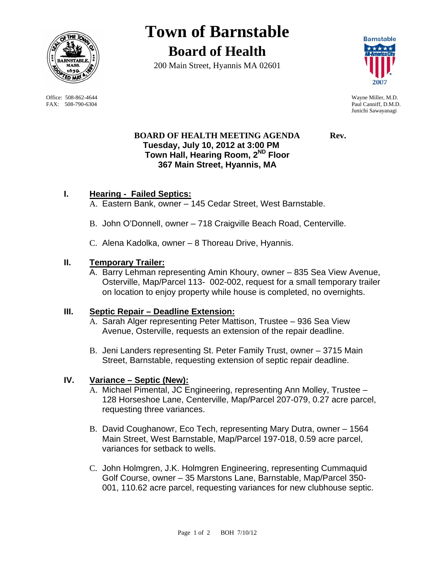

 Office: 508-862-4644 Wayne Miller, M.D. FAX: 508-790-6304 Paul Canniff, D.M.D.

# **Town of Barnstable Board of Health**

200 Main Street, Hyannis MA 02601



Junichi Sawayanagi

# **BOARD OF HEALTH MEETING AGENDA Rev. Tuesday, July 10, 2012 at 3:00 PM Town Hall, Hearing Room, 2ND Floor 367 Main Street, Hyannis, MA**

# **I. Hearing - Failed Septics:**

- A. Eastern Bank, owner 145 Cedar Street, West Barnstable.
- B. John O'Donnell, owner 718 Craigville Beach Road, Centerville.
- C. Alena Kadolka, owner 8 Thoreau Drive, Hyannis.

## **II. Temporary Trailer:**

A. Barry Lehman representing Amin Khoury, owner – 835 Sea View Avenue, Osterville, Map/Parcel 113- 002-002, request for a small temporary trailer on location to enjoy property while house is completed, no overnights.

#### **III. Septic Repair – Deadline Extension:**

- A. Sarah Alger representing Peter Mattison, Trustee 936 Sea View Avenue, Osterville, requests an extension of the repair deadline.
- B. Jeni Landers representing St. Peter Family Trust, owner 3715 Main Street, Barnstable, requesting extension of septic repair deadline.

# **IV. Variance – Septic (New):**

- A. Michael Pimental, JC Engineering, representing Ann Molley, Trustee 128 Horseshoe Lane, Centerville, Map/Parcel 207-079, 0.27 acre parcel, requesting three variances.
- B. David Coughanowr, Eco Tech, representing Mary Dutra, owner 1564 Main Street, West Barnstable, Map/Parcel 197-018, 0.59 acre parcel, variances for setback to wells.
- C. John Holmgren, J.K. Holmgren Engineering, representing Cummaquid Golf Course, owner – 35 Marstons Lane, Barnstable, Map/Parcel 350- 001, 110.62 acre parcel, requesting variances for new clubhouse septic.